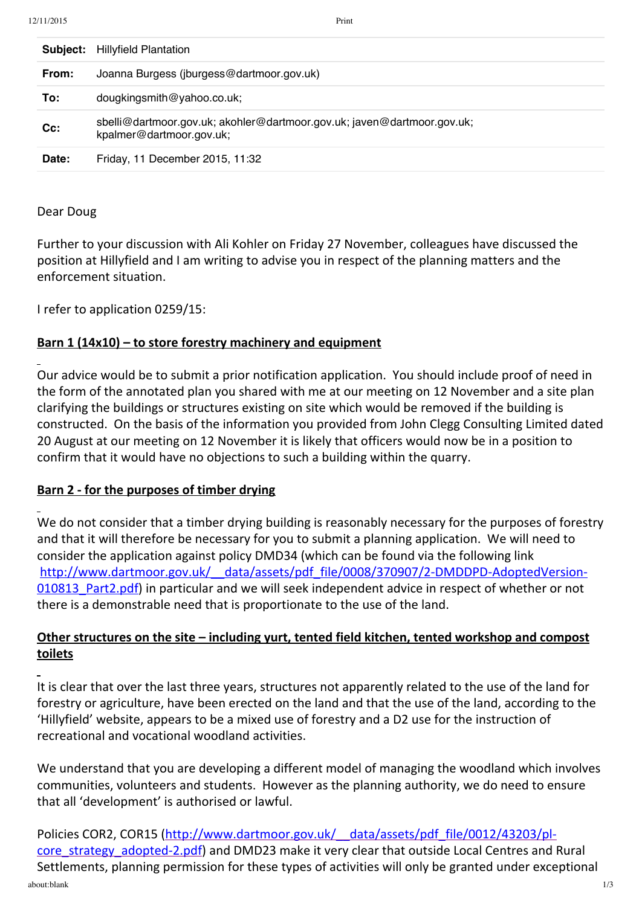| Subject: | <b>Hillyfield Plantation</b>                                                                        |
|----------|-----------------------------------------------------------------------------------------------------|
| From:    | Joanna Burgess (jburgess@dartmoor.gov.uk)                                                           |
| To:      | dougkingsmith@yahoo.co.uk;                                                                          |
| $Cc$ :   | sbelli@dartmoor.gov.uk; akohler@dartmoor.gov.uk; javen@dartmoor.gov.uk;<br>kpalmer@dartmoor.gov.uk; |
| Date:    | Friday, 11 December 2015, 11:32                                                                     |

### Dear Doug

Further to your discussion with Ali Kohler on Friday 27 November, colleagues have discussed the position at Hillyfield and I am writing to advise you in respect of the planning matters and the enforcement situation.

I refer to application 0259/15:

# **Barn 1 (14x10) – to store forestry machinery and equipment**

Our advice would be to submit a prior notification application. You should include proof of need in the form of the annotated plan you shared with me at our meeting on 12 November and a site plan clarifying the buildings or structures existing on site which would be removed if the building is constructed. On the basis of the information you provided from John Clegg Consulting Limited dated 20 August at our meeting on 12 November it is likely that officers would now be in a position to confirm that it would have no objections to such a building within the quarry.

# **Barn 2 ‐ for the purposes of timber drying**

We do not consider that a timber drying building is reasonably necessary for the purposes of forestry and that it will therefore be necessary for you to submit a planning application. We will need to consider the application against policy DMD34 (which can be found via the following link http://www.dartmoor.gov.uk/ data/assets/pdf\_file/0008/370907/2-DMDDPD-AdoptedVersion-010813 Part2.pdf) in particular and we will seek independent advice in respect of whether or not there is a demonstrable need that is proportionate to the use of the land.

# **Other structures on the site – including yurt, tented field kitchen, tented workshop and compost toilets**

It is clear that over the last three years, structures not apparently related to the use of the land for forestry or agriculture, have been erected on the land and that the use of the land, according to the 'Hillyfield' website, appears to be a mixed use of forestry and a D2 use for the instruction of recreational and vocational woodland activities.

We understand that you are developing a different model of managing the woodland which involves communities, volunteers and students. However as the planning authority, we do need to ensure that all 'development' is authorised or lawful.

about:blank 1/3 Policies COR2, COR15 (http://www.dartmoor.gov.uk/ data/assets/pdf file/0012/43203/plcore\_strategy\_adopted-2.pdf) and DMD23 make it very clear that outside Local Centres and Rural Settlements, planning permission for these types of activities will only be granted under exceptional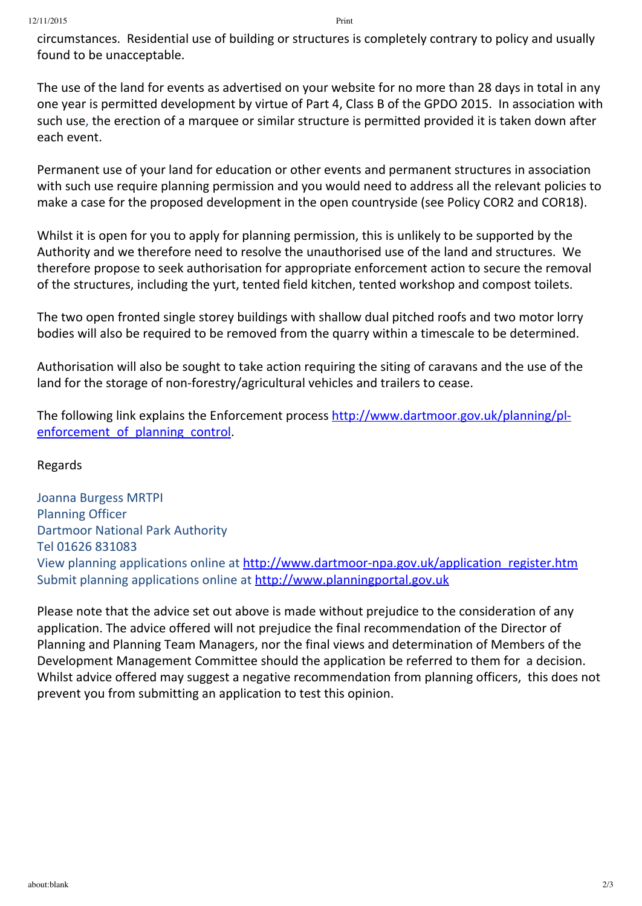circumstances. Residential use of building or structures is completely contrary to policy and usually found to be unacceptable.

The use of the land for events as advertised on your website for no more than 28 days in total in any one year is permitted development by virtue of Part 4, Class B of the GPDO 2015. In association with such use, the erection of a marquee or similar structure is permitted provided it is taken down after each event.

Permanent use of your land for education or other events and permanent structures in association with such use require planning permission and you would need to address all the relevant policies to make a case for the proposed development in the open countryside (see Policy COR2 and COR18).

Whilst it is open for you to apply for planning permission, this is unlikely to be supported by the Authority and we therefore need to resolve the unauthorised use of the land and structures. We therefore propose to seek authorisation for appropriate enforcement action to secure the removal of the structures, including the yurt, tented field kitchen, tented workshop and compost toilets.

The two open fronted single storey buildings with shallow dual pitched roofs and two motor lorry bodies will also be required to be removed from the quarry within a timescale to be determined.

Authorisation will also be sought to take action requiring the siting of caravans and the use of the land for the storage of non-forestry/agricultural vehicles and trailers to cease.

The following link explains the Enforcement process http://www.dartmoor.gov.uk/planning/plenforcement of planning control.

### Regards

Joanna Burgess MRTPI Planning Officer Dartmoor National Park Authority Tel 01626 831083 View planning applications online at http://www.dartmoor-npa.gov.uk/application\_register.htm Submit planning applications online at [http://www.planningportal.gov.uk](http://www.planningportal.gov.uk/)

Please note that the advice set out above is made without prejudice to the consideration of any application. The advice offered will not prejudice the final recommendation of the Director of Planning and Planning Team Managers, nor the final views and determination of Members of the Development Management Committee should the application be referred to them for a decision. Whilst advice offered may suggest a negative recommendation from planning officers, this does not prevent you from submitting an application to test this opinion.